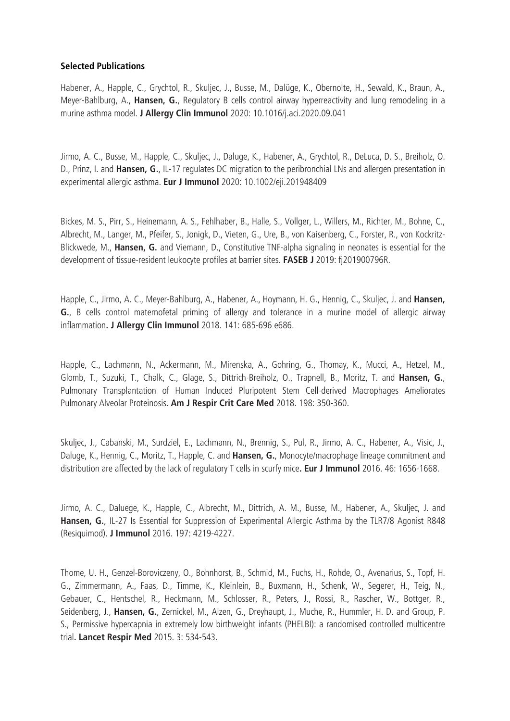## **Selected Publications**

Habener, A., Happle, C., Grychtol, R., Skuljec, J., Busse, M., Dalüge, K., Obernolte, H., Sewald, K., Braun, A., Meyer-Bahlburg, A., **Hansen, G.**, Regulatory B cells control airway hyperreactivity and lung remodeling in a murine asthma model. **J Allergy Clin Immunol** 2020: 10.1016/j.aci.2020.09.041

Jirmo, A. C., Busse, M., Happle, C., Skuljec, J., Daluge, K., Habener, A., Grychtol, R., DeLuca, D. S., Breiholz, O. D., Prinz, I. and **Hansen, G.**, IL-17 regulates DC migration to the peribronchial LNs and allergen presentation in experimental allergic asthma. **Eur J Immunol** 2020: 10.1002/eji.201948409

Bickes, M. S., Pirr, S., Heinemann, A. S., Fehlhaber, B., Halle, S., Vollger, L., Willers, M., Richter, M., Bohne, C., Albrecht, M., Langer, M., Pfeifer, S., Jonigk, D., Vieten, G., Ure, B., von Kaisenberg, C., Forster, R., von Kockritz-Blickwede, M., **Hansen, G.** and Viemann, D., Constitutive TNF-alpha signaling in neonates is essential for the development of tissue-resident leukocyte profiles at barrier sites. **FASEB J** 2019: fj201900796R.

Happle, C., Jirmo, A. C., Meyer-Bahlburg, A., Habener, A., Hoymann, H. G., Hennig, C., Skuljec, J. and **Hansen, G.**, B cells control maternofetal priming of allergy and tolerance in a murine model of allergic airway inflammation**. J Allergy Clin Immunol** 2018. 141: 685-696 e686.

Happle, C., Lachmann, N., Ackermann, M., Mirenska, A., Gohring, G., Thomay, K., Mucci, A., Hetzel, M., Glomb, T., Suzuki, T., Chalk, C., Glage, S., Dittrich-Breiholz, O., Trapnell, B., Moritz, T. and **Hansen, G.**, Pulmonary Transplantation of Human Induced Pluripotent Stem Cell-derived Macrophages Ameliorates Pulmonary Alveolar Proteinosis. **Am J Respir Crit Care Med** 2018. 198: 350-360.

Skuljec, J., Cabanski, M., Surdziel, E., Lachmann, N., Brennig, S., Pul, R., Jirmo, A. C., Habener, A., Visic, J., Daluge, K., Hennig, C., Moritz, T., Happle, C. and **Hansen, G.**, Monocyte/macrophage lineage commitment and distribution are affected by the lack of regulatory T cells in scurfy mice**. Eur J Immunol** 2016. 46: 1656-1668.

Jirmo, A. C., Daluege, K., Happle, C., Albrecht, M., Dittrich, A. M., Busse, M., Habener, A., Skuljec, J. and **Hansen, G.**, IL-27 Is Essential for Suppression of Experimental Allergic Asthma by the TLR7/8 Agonist R848 (Resiquimod). **J Immunol** 2016. 197: 4219-4227.

Thome, U. H., Genzel-Boroviczeny, O., Bohnhorst, B., Schmid, M., Fuchs, H., Rohde, O., Avenarius, S., Topf, H. G., Zimmermann, A., Faas, D., Timme, K., Kleinlein, B., Buxmann, H., Schenk, W., Segerer, H., Teig, N., Gebauer, C., Hentschel, R., Heckmann, M., Schlosser, R., Peters, J., Rossi, R., Rascher, W., Bottger, R., Seidenberg, J., **Hansen, G.**, Zernickel, M., Alzen, G., Dreyhaupt, J., Muche, R., Hummler, H. D. and Group, P. S., Permissive hypercapnia in extremely low birthweight infants (PHELBI): a randomised controlled multicentre trial**. Lancet Respir Med** 2015. 3: 534-543.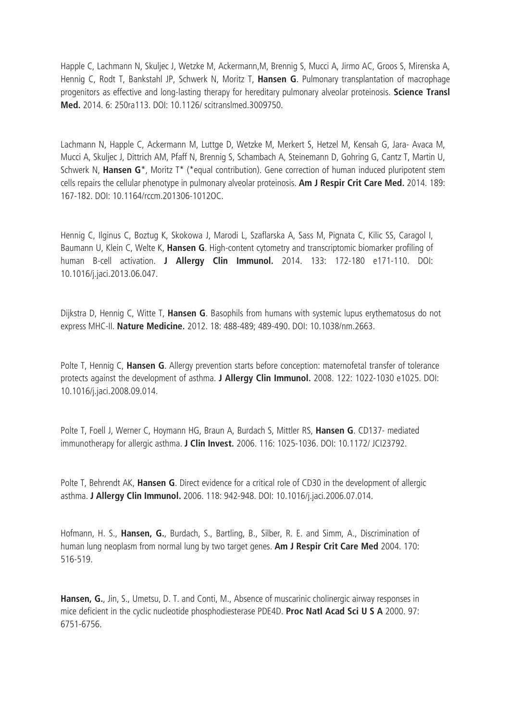Happle C, Lachmann N, Skuljec J, Wetzke M, Ackermann,M, Brennig S, Mucci A, Jirmo AC, Groos S, Mirenska A, Hennig C, Rodt T, Bankstahl JP, Schwerk N, Moritz T, **Hansen G**. Pulmonary transplantation of macrophage progenitors as effective and long-lasting therapy for hereditary pulmonary alveolar proteinosis. **Science Transl Med.** 2014. 6: 250ra113. DOI: 10.1126/ scitranslmed.3009750.

Lachmann N, Happle C, Ackermann M, Luttge D, Wetzke M, Merkert S, Hetzel M, Kensah G, Jara- Avaca M, Mucci A, Skuljec J, Dittrich AM, Pfaff N, Brennig S, Schambach A, Steinemann D, Gohring G, Cantz T, Martin U, Schwerk N, **Hansen G**\*, Moritz T\* (\*equal contribution). Gene correction of human induced pluripotent stem cells repairs the cellular phenotype in pulmonary alveolar proteinosis. **Am J Respir Crit Care Med.** 2014. 189: 167-182. DOI: 10.1164/rccm.201306-1012OC.

Hennig C, Ilginus C, Boztug K, Skokowa J, Marodi L, Szaflarska A, Sass M, Pignata C, Kilic SS, Caragol I, Baumann U, Klein C, Welte K, **Hansen G**. High-content cytometry and transcriptomic biomarker profiling of human B-cell activation. **J Allergy Clin Immunol.** 2014. 133: 172-180 e171-110. DOI: 10.1016/j.jaci.2013.06.047.

Dijkstra D, Hennig C, Witte T, **Hansen G**. Basophils from humans with systemic lupus erythematosus do not express MHC-II. **Nature Medicine.** 2012. 18: 488-489; 489-490. DOI: 10.1038/nm.2663.

Polte T, Hennig C, **Hansen G**. Allergy prevention starts before conception: maternofetal transfer of tolerance protects against the development of asthma. **J Allergy Clin Immunol.** 2008. 122: 1022-1030 e1025. DOI: 10.1016/j.jaci.2008.09.014.

Polte T, Foell J, Werner C, Hoymann HG, Braun A, Burdach S, Mittler RS, **Hansen G**. CD137- mediated immunotherapy for allergic asthma. **J Clin Invest.** 2006. 116: 1025-1036. DOI: 10.1172/ JCI23792.

Polte T, Behrendt AK, **Hansen G**. Direct evidence for a critical role of CD30 in the development of allergic asthma. **J Allergy Clin Immunol.** 2006. 118: 942-948. DOI: 10.1016/j.jaci.2006.07.014.

Hofmann, H. S., **Hansen, G.**, Burdach, S., Bartling, B., Silber, R. E. and Simm, A., Discrimination of human lung neoplasm from normal lung by two target genes. **Am J Respir Crit Care Med** 2004. 170: 516-519.

**Hansen, G.**, Jin, S., Umetsu, D. T. and Conti, M., Absence of muscarinic cholinergic airway responses in mice deficient in the cyclic nucleotide phosphodiesterase PDE4D. **Proc Natl Acad Sci U S A** 2000. 97: 6751-6756.